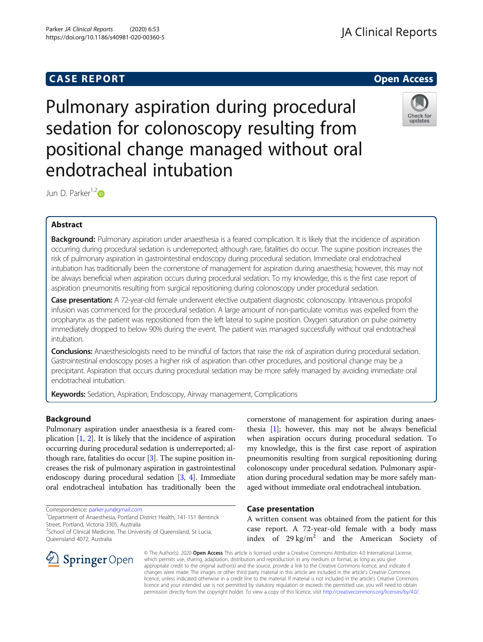# **CASE REPORT CASE REPORT**

Pulmonary aspiration during procedural sedation for colonoscopy resulting from positional change managed without oral endotracheal intubation



Jun D. Parker<sup>1,[2](http://orcid.org/0000-0002-5320-562X)</sup>D

### Abstract

Background: Pulmonary aspiration under anaesthesia is a feared complication. It is likely that the incidence of aspiration occurring during procedural sedation is underreported; although rare, fatalities do occur. The supine position increases the risk of pulmonary aspiration in gastrointestinal endoscopy during procedural sedation. Immediate oral endotracheal intubation has traditionally been the cornerstone of management for aspiration during anaesthesia; however, this may not be always beneficial when aspiration occurs during procedural sedation. To my knowledge, this is the first case report of aspiration pneumonitis resulting from surgical repositioning during colonoscopy under procedural sedation.

Case presentation: A 72-year-old female underwent elective outpatient diagnostic colonoscopy. Intravenous propofol infusion was commenced for the procedural sedation. A large amount of non-particulate vomitus was expelled from the oropharynx as the patient was repositioned from the left lateral to supine position. Oxygen saturation on pulse oximetry immediately dropped to below 90% during the event. The patient was managed successfully without oral endotracheal intubation.

**Conclusions:** Anaesthesiologists need to be mindful of factors that raise the risk of aspiration during procedural sedation. Gastrointestinal endoscopy poses a higher risk of aspiration than other procedures, and positional change may be a precipitant. Aspiration that occurs during procedural sedation may be more safely managed by avoiding immediate oral endotracheal intubation.

Keywords: Sedation, Aspiration, Endoscopy, Airway management, Complications

### Background

Pulmonary aspiration under anaesthesia is a feared complication [[1](#page-2-0), [2\]](#page-2-0). It is likely that the incidence of aspiration occurring during procedural sedation is underreported; although rare, fatalities do occur [[3](#page-2-0)]. The supine position increases the risk of pulmonary aspiration in gastrointestinal endoscopy during procedural sedation [\[3,](#page-2-0) [4](#page-2-0)]. Immediate oral endotracheal intubation has traditionally been the

Correspondence: [parker.jun@gmail.com](mailto:parker.jun@gmail.com) <sup>1</sup>

<sup>1</sup>Department of Anaesthesia, Portland District Health, 141-151 Bentinck Street, Portland, Victoria 3305, Australia

cornerstone of management for aspiration during anaesthesia [\[1](#page-2-0)]; however, this may not be always beneficial when aspiration occurs during procedural sedation. To my knowledge, this is the first case report of aspiration pneumonitis resulting from surgical repositioning during colonoscopy under procedural sedation. Pulmonary aspiration during procedural sedation may be more safely managed without immediate oral endotracheal intubation.

### Case presentation

permission directly from the copyright holder. To view a copy of this licence, visit <http://creativecommons.org/licenses/by/4.0/>.

A written consent was obtained from the patient for this case report. A 72-year-old female with a body mass index of  $29 \text{ kg/m}^2$  and the American Society of



© The Author(s). 2020 Open Access This article is licensed under a Creative Commons Attribution 4.0 International License, which permits use, sharing, adaptation, distribution and reproduction in any medium or format, as long as you give appropriate credit to the original author(s) and the source, provide a link to the Creative Commons licence, and indicate if changes were made. The images or other third party material in this article are included in the article's Creative Commons licence, unless indicated otherwise in a credit line to the material. If material is not included in the article's Creative Commons licence and your intended use is not permitted by statutory regulation or exceeds the permitted use, you will need to obtain

<sup>&</sup>lt;sup>2</sup>School of Clinical Medicine, The University of Queensland, St Lucia, Queensland 4072, Australia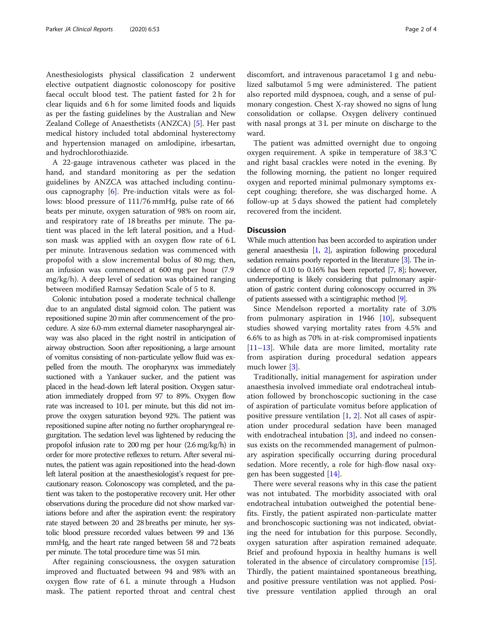Anesthesiologists physical classification 2 underwent elective outpatient diagnostic colonoscopy for positive faecal occult blood test. The patient fasted for 2 h for clear liquids and 6 h for some limited foods and liquids as per the fasting guidelines by the Australian and New Zealand College of Anaesthetists (ANZCA) [[5\]](#page-2-0). Her past medical history included total abdominal hysterectomy and hypertension managed on amlodipine, irbesartan, and hydrochlorothiazide.

A 22-gauge intravenous catheter was placed in the hand, and standard monitoring as per the sedation guidelines by ANZCA was attached including continuous capnography [\[6](#page-2-0)]. Pre-induction vitals were as follows: blood pressure of 111/76 mmHg, pulse rate of 66 beats per minute, oxygen saturation of 98% on room air, and respiratory rate of 18 breaths per minute. The patient was placed in the left lateral position, and a Hudson mask was applied with an oxygen flow rate of 6 L per minute. Intravenous sedation was commenced with propofol with a slow incremental bolus of 80 mg; then, an infusion was commenced at 600 mg per hour (7.9 mg/kg/h). A deep level of sedation was obtained ranging between modified Ramsay Sedation Scale of 5 to 8.

Colonic intubation posed a moderate technical challenge due to an angulated distal sigmoid colon. The patient was repositioned supine 20 min after commencement of the procedure. A size 6.0-mm external diameter nasopharyngeal airway was also placed in the right nostril in anticipation of airway obstruction. Soon after repositioning, a large amount of vomitus consisting of non-particulate yellow fluid was expelled from the mouth. The oropharynx was immediately suctioned with a Yankauer sucker, and the patient was placed in the head-down left lateral position. Oxygen saturation immediately dropped from 97 to 89%. Oxygen flow rate was increased to 10 L per minute, but this did not improve the oxygen saturation beyond 92%. The patient was repositioned supine after noting no further oropharyngeal regurgitation. The sedation level was lightened by reducing the propofol infusion rate to 200 mg per hour (2.6 mg/kg/h) in order for more protective reflexes to return. After several minutes, the patient was again repositioned into the head-down left lateral position at the anaesthesiologist's request for precautionary reason. Colonoscopy was completed, and the patient was taken to the postoperative recovery unit. Her other observations during the procedure did not show marked variations before and after the aspiration event: the respiratory rate stayed between 20 and 28 breaths per minute, her systolic blood pressure recorded values between 99 and 136 mmHg, and the heart rate ranged between 58 and 72 beats per minute. The total procedure time was 51 min.

After regaining consciousness, the oxygen saturation improved and fluctuated between 94 and 98% with an oxygen flow rate of 6L a minute through a Hudson mask. The patient reported throat and central chest

discomfort, and intravenous paracetamol 1 g and nebulized salbutamol 5 mg were administered. The patient also reported mild dyspnoea, cough, and a sense of pulmonary congestion. Chest X-ray showed no signs of lung consolidation or collapse. Oxygen delivery continued with nasal prongs at 3 L per minute on discharge to the ward.

The patient was admitted overnight due to ongoing oxygen requirement. A spike in temperature of 38.3 °C and right basal crackles were noted in the evening. By the following morning, the patient no longer required oxygen and reported minimal pulmonary symptoms except coughing; therefore, she was discharged home. A follow-up at 5 days showed the patient had completely recovered from the incident.

### **Discussion**

While much attention has been accorded to aspiration under general anaesthesia [\[1,](#page-2-0) [2\]](#page-2-0), aspiration following procedural sedation remains poorly reported in the literature [\[3](#page-2-0)]. The incidence of 0.10 to 0.16% has been reported [\[7,](#page-3-0) [8\]](#page-3-0); however, underreporting is likely considering that pulmonary aspiration of gastric content during colonoscopy occurred in 3% of patients assessed with a scintigraphic method [\[9\]](#page-3-0).

Since Mendelson reported a mortality rate of 3.0% from pulmonary aspiration in 1946 [\[10](#page-3-0)], subsequent studies showed varying mortality rates from 4.5% and 6.6% to as high as 70% in at-risk compromised inpatients [[11](#page-3-0)–[13](#page-3-0)]. While data are more limited, mortality rate from aspiration during procedural sedation appears much lower [[3](#page-2-0)].

Traditionally, initial management for aspiration under anaesthesia involved immediate oral endotracheal intubation followed by bronchoscopic suctioning in the case of aspiration of particulate vomitus before application of positive pressure ventilation [[1,](#page-2-0) [2\]](#page-2-0). Not all cases of aspiration under procedural sedation have been managed with endotracheal intubation [\[3](#page-2-0)], and indeed no consensus exists on the recommended management of pulmonary aspiration specifically occurring during procedural sedation. More recently, a role for high-flow nasal oxygen has been suggested [\[14](#page-3-0)].

There were several reasons why in this case the patient was not intubated. The morbidity associated with oral endotracheal intubation outweighed the potential benefits. Firstly, the patient aspirated non-particulate matter and bronchoscopic suctioning was not indicated, obviating the need for intubation for this purpose. Secondly, oxygen saturation after aspiration remained adequate. Brief and profound hypoxia in healthy humans is well tolerated in the absence of circulatory compromise [\[15](#page-3-0)]. Thirdly, the patient maintained spontaneous breathing, and positive pressure ventilation was not applied. Positive pressure ventilation applied through an oral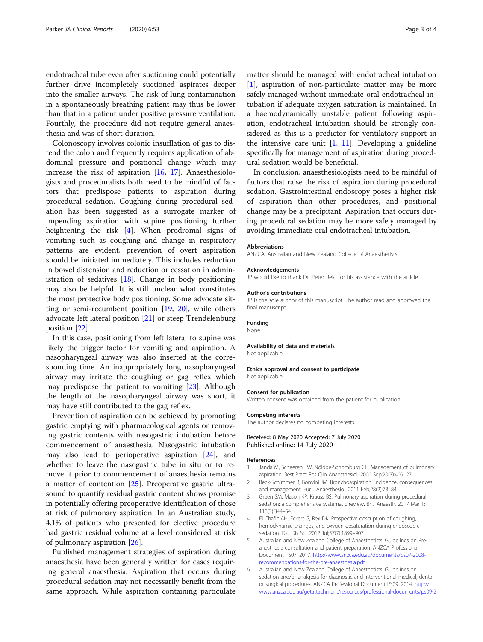<span id="page-2-0"></span>endotracheal tube even after suctioning could potentially further drive incompletely suctioned aspirates deeper into the smaller airways. The risk of lung contamination in a spontaneously breathing patient may thus be lower than that in a patient under positive pressure ventilation. Fourthly, the procedure did not require general anaesthesia and was of short duration.

Colonoscopy involves colonic insufflation of gas to distend the colon and frequently requires application of abdominal pressure and positional change which may increase the risk of aspiration  $[16, 17]$  $[16, 17]$  $[16, 17]$ . Anaesthesiologists and proceduralists both need to be mindful of factors that predispose patients to aspiration during procedural sedation. Coughing during procedural sedation has been suggested as a surrogate marker of impending aspiration with supine positioning further heightening the risk [4]. When prodromal signs of vomiting such as coughing and change in respiratory patterns are evident, prevention of overt aspiration should be initiated immediately. This includes reduction in bowel distension and reduction or cessation in administration of sedatives [\[18\]](#page-3-0). Change in body positioning may also be helpful. It is still unclear what constitutes the most protective body positioning. Some advocate sitting or semi-recumbent position [\[19](#page-3-0), [20\]](#page-3-0), while others advocate left lateral position [\[21](#page-3-0)] or steep Trendelenburg position [[22\]](#page-3-0).

In this case, positioning from left lateral to supine was likely the trigger factor for vomiting and aspiration. A nasopharyngeal airway was also inserted at the corresponding time. An inappropriately long nasopharyngeal airway may irritate the coughing or gag reflex which may predispose the patient to vomiting [\[23](#page-3-0)]. Although the length of the nasopharyngeal airway was short, it may have still contributed to the gag reflex.

Prevention of aspiration can be achieved by promoting gastric emptying with pharmacological agents or removing gastric contents with nasogastric intubation before commencement of anaesthesia. Nasogastric intubation may also lead to perioperative aspiration [\[24](#page-3-0)], and whether to leave the nasogastric tube in situ or to remove it prior to commencement of anaesthesia remains a matter of contention [\[25](#page-3-0)]. Preoperative gastric ultrasound to quantify residual gastric content shows promise in potentially offering preoperative identification of those at risk of pulmonary aspiration. In an Australian study, 4.1% of patients who presented for elective procedure had gastric residual volume at a level considered at risk of pulmonary aspiration [\[26](#page-3-0)].

Published management strategies of aspiration during anaesthesia have been generally written for cases requiring general anaesthesia. Aspiration that occurs during procedural sedation may not necessarily benefit from the same approach. While aspiration containing particulate

matter should be managed with endotracheal intubation [1], aspiration of non-particulate matter may be more safely managed without immediate oral endotracheal intubation if adequate oxygen saturation is maintained. In a haemodynamically unstable patient following aspiration, endotracheal intubation should be strongly considered as this is a predictor for ventilatory support in the intensive care unit  $[1, 11]$  $[1, 11]$  $[1, 11]$ . Developing a guideline specifically for management of aspiration during procedural sedation would be beneficial.

In conclusion, anaesthesiologists need to be mindful of factors that raise the risk of aspiration during procedural sedation. Gastrointestinal endoscopy poses a higher risk of aspiration than other procedures, and positional change may be a precipitant. Aspiration that occurs during procedural sedation may be more safely managed by avoiding immediate oral endotracheal intubation.

#### **Abbreviations**

ANZCA: Australian and New Zealand College of Anaesthetists

#### Acknowledgements

JP would like to thank Dr. Peter Reid for his assistance with the article.

#### Author's contributions

JP is the sole author of this manuscript. The author read and approved the final manuscript.

#### Funding

None.

#### Availability of data and materials

Not applicable.

### Ethics approval and consent to participate

Not applicable.

### Consent for publication

Written consent was obtained from the patient for publication.

#### Competing interests

The author declares no competing interests.

Received: 8 May 2020 Accepted: 7 July 2020 Published online: 14 July 2020

#### References

- 1. Janda M, Scheeren TW, Nöldge-Schomburg GF. Management of pulmonary aspiration. Best Pract Res Clin Anaesthesiol. 2006 Sep;20(3):409–27.
- 2. Beck-Schimmer B, Bonvini JM. Bronchoaspiration: incidence, consequences and management. Eur J Anaesthesiol. 2011 Feb;28(2):78–84.
- 3. Green SM, Mason KP, Krauss BS. Pulmonary aspiration during procedural sedation: a comprehensive systematic review. Br J Anaesth. 2017 Mar 1; 118(3):344–54.
- 4. El Chafic AH, Eckert G, Rex DK. Prospective description of coughing, hemodynamic changes, and oxygen desaturation during endoscopic sedation. Dig Dis Sci. 2012 Jul;57(7):1899–907.
- 5. Australian and New Zealand College of Anaesthetists. Guidelines on Preanesthesia consultation and patient preparation, ANZCA Professional Document PS07. 2017. [http://www.anzca.edu.au/documents/ps07-2008](http://www.anzca.edu.au/documents/ps07-2008-recommendations-for-the-pre-anaesthesia.pdf) [recommendations-for-the-pre-anaesthesia.pdf.](http://www.anzca.edu.au/documents/ps07-2008-recommendations-for-the-pre-anaesthesia.pdf)
- 6. Australian and New Zealand College of Anaesthetists. Guidelines on sedation and/or analgesia for diagnostic and interventional medical, dental or surgical procedures. ANZCA Professional Document PS09. 2014. [http://](http://www.anzca.edu.au/getattachment/resources/professional-documents/ps09-2014-guidelines-on-sedation-and-or-analgesia-for-diagnostic-and-interventional-medical-dental-or-surgical-procedures.pdf) [www.anzca.edu.au/getattachment/resources/professional-documents/ps09-2](http://www.anzca.edu.au/getattachment/resources/professional-documents/ps09-2014-guidelines-on-sedation-and-or-analgesia-for-diagnostic-and-interventional-medical-dental-or-surgical-procedures.pdf)